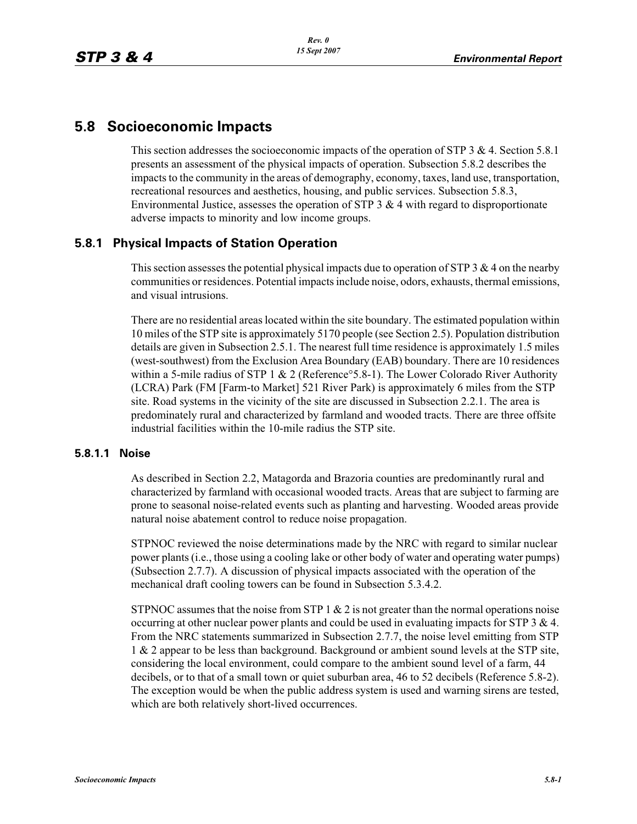# **5.8 Socioeconomic Impacts**

This section addresses the socioeconomic impacts of the operation of STP  $3 \& 4$ . Section 5.8.1 presents an assessment of the physical impacts of operation. Subsection 5.8.2 describes the impacts to the community in the areas of demography, economy, taxes, land use, transportation, recreational resources and aesthetics, housing, and public services. Subsection 5.8.3, Environmental Justice, assesses the operation of STP  $3 \& 4$  with regard to disproportionate adverse impacts to minority and low income groups.

## **5.8.1 Physical Impacts of Station Operation**

This section assesses the potential physical impacts due to operation of STP 3  $\&$  4 on the nearby communities or residences. Potential impacts include noise, odors, exhausts, thermal emissions, and visual intrusions.

There are no residential areas located within the site boundary. The estimated population within 10 miles of the STP site is approximately 5170 people (see Section 2.5). Population distribution details are given in Subsection 2.5.1. The nearest full time residence is approximately 1.5 miles (west-southwest) from the Exclusion Area Boundary (EAB) boundary. There are 10 residences within a 5-mile radius of STP 1  $& 2$  (Reference  $5.8-1$ ). The Lower Colorado River Authority (LCRA) Park (FM [Farm-to Market] 521 River Park) is approximately 6 miles from the STP site. Road systems in the vicinity of the site are discussed in Subsection 2.2.1. The area is predominately rural and characterized by farmland and wooded tracts. There are three offsite industrial facilities within the 10-mile radius the STP site.

### **5.8.1.1 Noise**

As described in Section 2.2, Matagorda and Brazoria counties are predominantly rural and characterized by farmland with occasional wooded tracts. Areas that are subject to farming are prone to seasonal noise-related events such as planting and harvesting. Wooded areas provide natural noise abatement control to reduce noise propagation.

STPNOC reviewed the noise determinations made by the NRC with regard to similar nuclear power plants (i.e., those using a cooling lake or other body of water and operating water pumps) (Subsection 2.7.7). A discussion of physical impacts associated with the operation of the mechanical draft cooling towers can be found in Subsection 5.3.4.2.

STPNOC assumes that the noise from STP  $1 \& 2$  is not greater than the normal operations noise occurring at other nuclear power plants and could be used in evaluating impacts for STP  $3 \& 4$ . From the NRC statements summarized in Subsection 2.7.7, the noise level emitting from STP 1 & 2 appear to be less than background. Background or ambient sound levels at the STP site, considering the local environment, could compare to the ambient sound level of a farm, 44 decibels, or to that of a small town or quiet suburban area, 46 to 52 decibels (Reference 5.8-2). The exception would be when the public address system is used and warning sirens are tested, which are both relatively short-lived occurrences.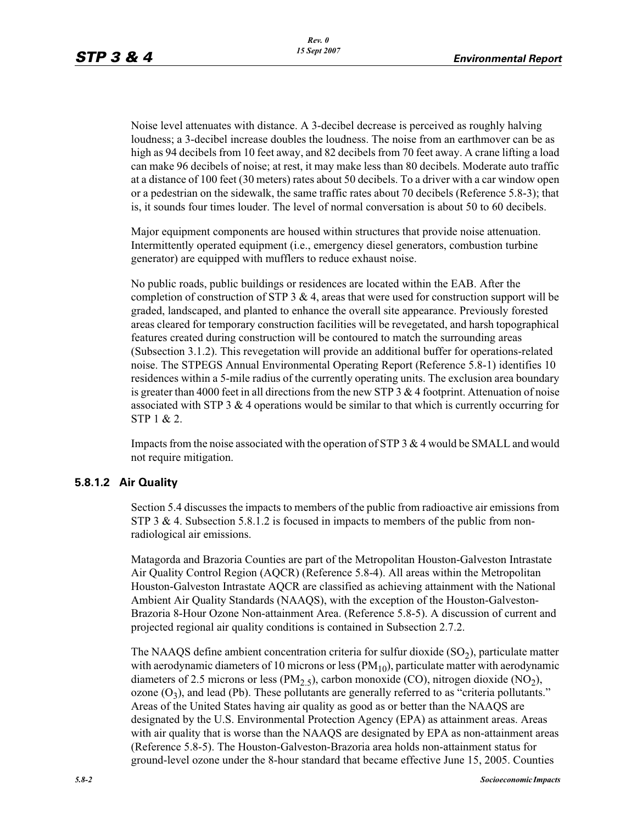Noise level attenuates with distance. A 3-decibel decrease is perceived as roughly halving loudness; a 3-decibel increase doubles the loudness. The noise from an earthmover can be as high as 94 decibels from 10 feet away, and 82 decibels from 70 feet away. A crane lifting a load can make 96 decibels of noise; at rest, it may make less than 80 decibels. Moderate auto traffic at a distance of 100 feet (30 meters) rates about 50 decibels. To a driver with a car window open or a pedestrian on the sidewalk, the same traffic rates about 70 decibels (Reference 5.8-3); that is, it sounds four times louder. The level of normal conversation is about 50 to 60 decibels.

Major equipment components are housed within structures that provide noise attenuation. Intermittently operated equipment (i.e., emergency diesel generators, combustion turbine generator) are equipped with mufflers to reduce exhaust noise.

No public roads, public buildings or residences are located within the EAB. After the completion of construction of STP  $3 \& 4$ , areas that were used for construction support will be graded, landscaped, and planted to enhance the overall site appearance. Previously forested areas cleared for temporary construction facilities will be revegetated, and harsh topographical features created during construction will be contoured to match the surrounding areas (Subsection 3.1.2). This revegetation will provide an additional buffer for operations-related noise. The STPEGS Annual Environmental Operating Report (Reference 5.8-1) identifies 10 residences within a 5-mile radius of the currently operating units. The exclusion area boundary is greater than 4000 feet in all directions from the new STP 3  $\&$  4 footprint. Attenuation of noise associated with STP 3 & 4 operations would be similar to that which is currently occurring for STP 1 & 2.

Impacts from the noise associated with the operation of STP 3  $\&$  4 would be SMALL and would not require mitigation.

### **5.8.1.2 Air Quality**

Section 5.4 discusses the impacts to members of the public from radioactive air emissions from STP 3 & 4. Subsection 5.8.1.2 is focused in impacts to members of the public from nonradiological air emissions.

Matagorda and Brazoria Counties are part of the Metropolitan Houston-Galveston Intrastate Air Quality Control Region (AQCR) (Reference 5.8-4). All areas within the Metropolitan Houston-Galveston Intrastate AQCR are classified as achieving attainment with the National Ambient Air Quality Standards (NAAQS), with the exception of the Houston-Galveston-Brazoria 8-Hour Ozone Non-attainment Area. (Reference 5.8-5). A discussion of current and projected regional air quality conditions is contained in Subsection 2.7.2.

The NAAQS define ambient concentration criteria for sulfur dioxide  $(SO<sub>2</sub>)$ , particulate matter with aerodynamic diameters of 10 microns or less  $(PM_{10})$ , particulate matter with aerodynamic diameters of 2.5 microns or less (PM<sub>2.5</sub>), carbon monoxide (CO), nitrogen dioxide (NO<sub>2</sub>), ozone  $(O_3)$ , and lead (Pb). These pollutants are generally referred to as "criteria pollutants." Areas of the United States having air quality as good as or better than the NAAQS are designated by the U.S. Environmental Protection Agency (EPA) as attainment areas. Areas with air quality that is worse than the NAAQS are designated by EPA as non-attainment areas (Reference 5.8-5). The Houston-Galveston-Brazoria area holds non-attainment status for ground-level ozone under the 8-hour standard that became effective June 15, 2005. Counties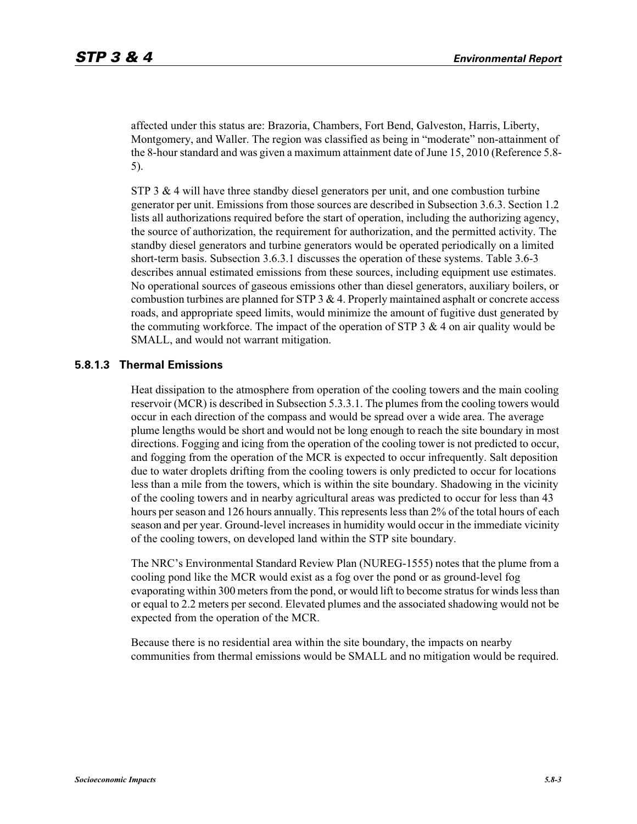affected under this status are: Brazoria, Chambers, Fort Bend, Galveston, Harris, Liberty, Montgomery, and Waller. The region was classified as being in "moderate" non-attainment of the 8-hour standard and was given a maximum attainment date of June 15, 2010 (Reference 5.8- 5).

STP 3  $\&$  4 will have three standby diesel generators per unit, and one combustion turbine generator per unit. Emissions from those sources are described in Subsection 3.6.3. Section 1.2 lists all authorizations required before the start of operation, including the authorizing agency, the source of authorization, the requirement for authorization, and the permitted activity. The standby diesel generators and turbine generators would be operated periodically on a limited short-term basis. Subsection 3.6.3.1 discusses the operation of these systems. Table 3.6-3 describes annual estimated emissions from these sources, including equipment use estimates. No operational sources of gaseous emissions other than diesel generators, auxiliary boilers, or combustion turbines are planned for STP  $3 \& 4$ . Properly maintained asphalt or concrete access roads, and appropriate speed limits, would minimize the amount of fugitive dust generated by the commuting workforce. The impact of the operation of STP 3  $\&$  4 on air quality would be SMALL, and would not warrant mitigation.

### **5.8.1.3 Thermal Emissions**

Heat dissipation to the atmosphere from operation of the cooling towers and the main cooling reservoir (MCR) is described in Subsection 5.3.3.1. The plumes from the cooling towers would occur in each direction of the compass and would be spread over a wide area. The average plume lengths would be short and would not be long enough to reach the site boundary in most directions. Fogging and icing from the operation of the cooling tower is not predicted to occur, and fogging from the operation of the MCR is expected to occur infrequently. Salt deposition due to water droplets drifting from the cooling towers is only predicted to occur for locations less than a mile from the towers, which is within the site boundary. Shadowing in the vicinity of the cooling towers and in nearby agricultural areas was predicted to occur for less than 43 hours per season and 126 hours annually. This represents less than 2% of the total hours of each season and per year. Ground-level increases in humidity would occur in the immediate vicinity of the cooling towers, on developed land within the STP site boundary.

The NRC's Environmental Standard Review Plan (NUREG-1555) notes that the plume from a cooling pond like the MCR would exist as a fog over the pond or as ground-level fog evaporating within 300 meters from the pond, or would lift to become stratus for winds less than or equal to 2.2 meters per second. Elevated plumes and the associated shadowing would not be expected from the operation of the MCR.

Because there is no residential area within the site boundary, the impacts on nearby communities from thermal emissions would be SMALL and no mitigation would be required.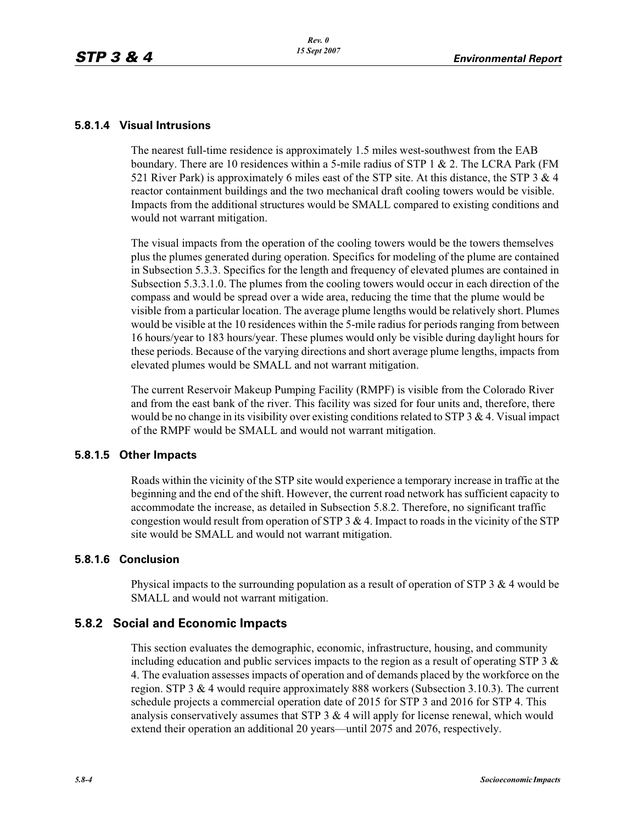### **5.8.1.4 Visual Intrusions**

The nearest full-time residence is approximately 1.5 miles west-southwest from the EAB boundary. There are 10 residences within a 5-mile radius of STP 1 & 2. The LCRA Park (FM 521 River Park) is approximately 6 miles east of the STP site. At this distance, the STP  $3 \& 4$ reactor containment buildings and the two mechanical draft cooling towers would be visible. Impacts from the additional structures would be SMALL compared to existing conditions and would not warrant mitigation.

The visual impacts from the operation of the cooling towers would be the towers themselves plus the plumes generated during operation. Specifics for modeling of the plume are contained in Subsection 5.3.3. Specifics for the length and frequency of elevated plumes are contained in Subsection 5.3.3.1.0. The plumes from the cooling towers would occur in each direction of the compass and would be spread over a wide area, reducing the time that the plume would be visible from a particular location. The average plume lengths would be relatively short. Plumes would be visible at the 10 residences within the 5-mile radius for periods ranging from between 16 hours/year to 183 hours/year. These plumes would only be visible during daylight hours for these periods. Because of the varying directions and short average plume lengths, impacts from elevated plumes would be SMALL and not warrant mitigation.

The current Reservoir Makeup Pumping Facility (RMPF) is visible from the Colorado River and from the east bank of the river. This facility was sized for four units and, therefore, there would be no change in its visibility over existing conditions related to STP  $3 \& 4$ . Visual impact of the RMPF would be SMALL and would not warrant mitigation.

### **5.8.1.5 Other Impacts**

Roads within the vicinity of the STP site would experience a temporary increase in traffic at the beginning and the end of the shift. However, the current road network has sufficient capacity to accommodate the increase, as detailed in Subsection 5.8.2. Therefore, no significant traffic congestion would result from operation of STP  $3 \& 4$ . Impact to roads in the vicinity of the STP site would be SMALL and would not warrant mitigation.

### **5.8.1.6 Conclusion**

Physical impacts to the surrounding population as a result of operation of STP 3  $\&$  4 would be SMALL and would not warrant mitigation.

### **5.8.2 Social and Economic Impacts**

This section evaluates the demographic, economic, infrastructure, housing, and community including education and public services impacts to the region as a result of operating STP 3  $\&$ 4. The evaluation assesses impacts of operation and of demands placed by the workforce on the region. STP 3 & 4 would require approximately 888 workers (Subsection 3.10.3). The current schedule projects a commercial operation date of 2015 for STP 3 and 2016 for STP 4. This analysis conservatively assumes that STP  $3 \& 4$  will apply for license renewal, which would extend their operation an additional 20 years—until 2075 and 2076, respectively.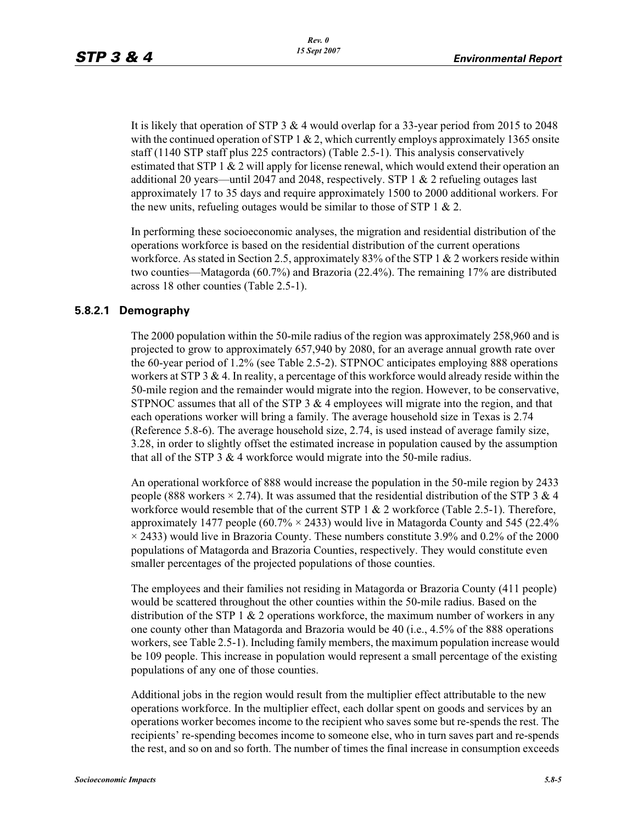It is likely that operation of STP 3  $&$  4 would overlap for a 33-year period from 2015 to 2048 with the continued operation of STP 1  $\&$  2, which currently employs approximately 1365 onsite staff (1140 STP staff plus 225 contractors) (Table 2.5-1). This analysis conservatively estimated that STP 1 & 2 will apply for license renewal, which would extend their operation an additional 20 years—until 2047 and 2048, respectively. STP 1  $\&$  2 refueling outages last approximately 17 to 35 days and require approximately 1500 to 2000 additional workers. For the new units, refueling outages would be similar to those of STP  $1 \& 2$ .

In performing these socioeconomic analyses, the migration and residential distribution of the operations workforce is based on the residential distribution of the current operations workforce. As stated in Section 2.5, approximately 83% of the STP 1  $\&$  2 workers reside within two counties—Matagorda (60.7%) and Brazoria (22.4%). The remaining 17% are distributed across 18 other counties (Table 2.5-1).

### **5.8.2.1 Demography**

The 2000 population within the 50-mile radius of the region was approximately 258,960 and is projected to grow to approximately 657,940 by 2080, for an average annual growth rate over the 60-year period of 1.2% (see Table 2.5-2). STPNOC anticipates employing 888 operations workers at STP 3 & 4. In reality, a percentage of this workforce would already reside within the 50-mile region and the remainder would migrate into the region. However, to be conservative, STPNOC assumes that all of the STP  $3 \& 4$  employees will migrate into the region, and that each operations worker will bring a family. The average household size in Texas is 2.74 (Reference 5.8-6). The average household size, 2.74, is used instead of average family size, 3.28, in order to slightly offset the estimated increase in population caused by the assumption that all of the STP 3  $&$  4 workforce would migrate into the 50-mile radius.

An operational workforce of 888 would increase the population in the 50-mile region by 2433 people (888 workers  $\times$  2.74). It was assumed that the residential distribution of the STP 3 & 4 workforce would resemble that of the current STP 1 & 2 workforce (Table 2.5-1). Therefore, approximately 1477 people  $(60.7\% \times 2433)$  would live in Matagorda County and 545 (22.4%)  $\times$  2433) would live in Brazoria County. These numbers constitute 3.9% and 0.2% of the 2000 populations of Matagorda and Brazoria Counties, respectively. They would constitute even smaller percentages of the projected populations of those counties.

The employees and their families not residing in Matagorda or Brazoria County (411 people) would be scattered throughout the other counties within the 50-mile radius. Based on the distribution of the STP 1  $& 2$  operations workforce, the maximum number of workers in any one county other than Matagorda and Brazoria would be 40 (i.e., 4.5% of the 888 operations workers, see Table 2.5-1). Including family members, the maximum population increase would be 109 people. This increase in population would represent a small percentage of the existing populations of any one of those counties.

Additional jobs in the region would result from the multiplier effect attributable to the new operations workforce. In the multiplier effect, each dollar spent on goods and services by an operations worker becomes income to the recipient who saves some but re-spends the rest. The recipients' re-spending becomes income to someone else, who in turn saves part and re-spends the rest, and so on and so forth. The number of times the final increase in consumption exceeds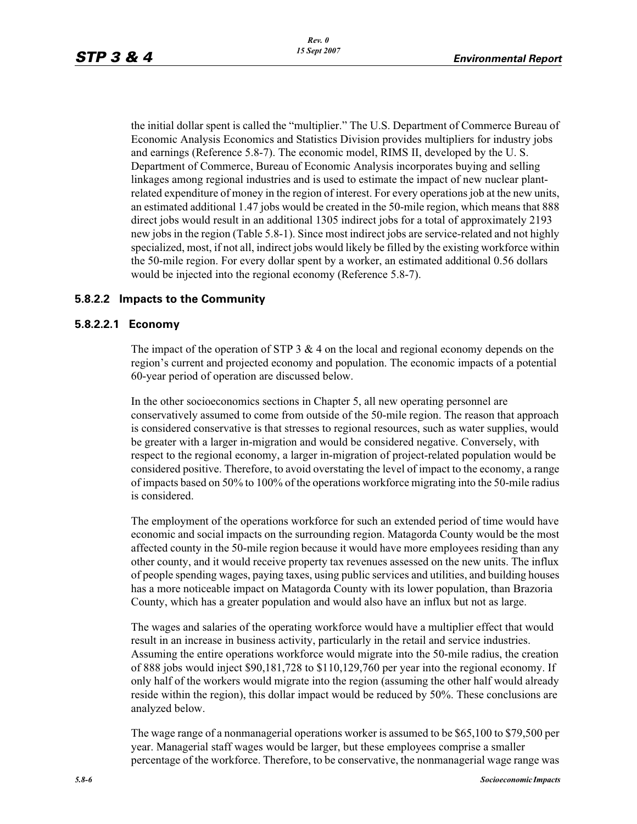the initial dollar spent is called the "multiplier." The U.S. Department of Commerce Bureau of Economic Analysis Economics and Statistics Division provides multipliers for industry jobs and earnings (Reference 5.8-7). The economic model, RIMS II, developed by the U. S. Department of Commerce, Bureau of Economic Analysis incorporates buying and selling linkages among regional industries and is used to estimate the impact of new nuclear plantrelated expenditure of money in the region of interest. For every operations job at the new units, an estimated additional 1.47 jobs would be created in the 50-mile region, which means that 888 direct jobs would result in an additional 1305 indirect jobs for a total of approximately 2193 new jobs in the region (Table 5.8-1). Since most indirect jobs are service-related and not highly specialized, most, if not all, indirect jobs would likely be filled by the existing workforce within the 50-mile region. For every dollar spent by a worker, an estimated additional 0.56 dollars would be injected into the regional economy (Reference 5.8-7).

### **5.8.2.2 Impacts to the Community**

#### **5.8.2.2.1 Economy**

The impact of the operation of STP 3  $& 4$  on the local and regional economy depends on the region's current and projected economy and population. The economic impacts of a potential 60-year period of operation are discussed below.

In the other socioeconomics sections in Chapter 5, all new operating personnel are conservatively assumed to come from outside of the 50-mile region. The reason that approach is considered conservative is that stresses to regional resources, such as water supplies, would be greater with a larger in-migration and would be considered negative. Conversely, with respect to the regional economy, a larger in-migration of project-related population would be considered positive. Therefore, to avoid overstating the level of impact to the economy, a range of impacts based on 50% to 100% of the operations workforce migrating into the 50-mile radius is considered.

The employment of the operations workforce for such an extended period of time would have economic and social impacts on the surrounding region. Matagorda County would be the most affected county in the 50-mile region because it would have more employees residing than any other county, and it would receive property tax revenues assessed on the new units. The influx of people spending wages, paying taxes, using public services and utilities, and building houses has a more noticeable impact on Matagorda County with its lower population, than Brazoria County, which has a greater population and would also have an influx but not as large.

The wages and salaries of the operating workforce would have a multiplier effect that would result in an increase in business activity, particularly in the retail and service industries. Assuming the entire operations workforce would migrate into the 50-mile radius, the creation of 888 jobs would inject \$90,181,728 to \$110,129,760 per year into the regional economy. If only half of the workers would migrate into the region (assuming the other half would already reside within the region), this dollar impact would be reduced by 50%. These conclusions are analyzed below.

The wage range of a nonmanagerial operations worker is assumed to be \$65,100 to \$79,500 per year. Managerial staff wages would be larger, but these employees comprise a smaller percentage of the workforce. Therefore, to be conservative, the nonmanagerial wage range was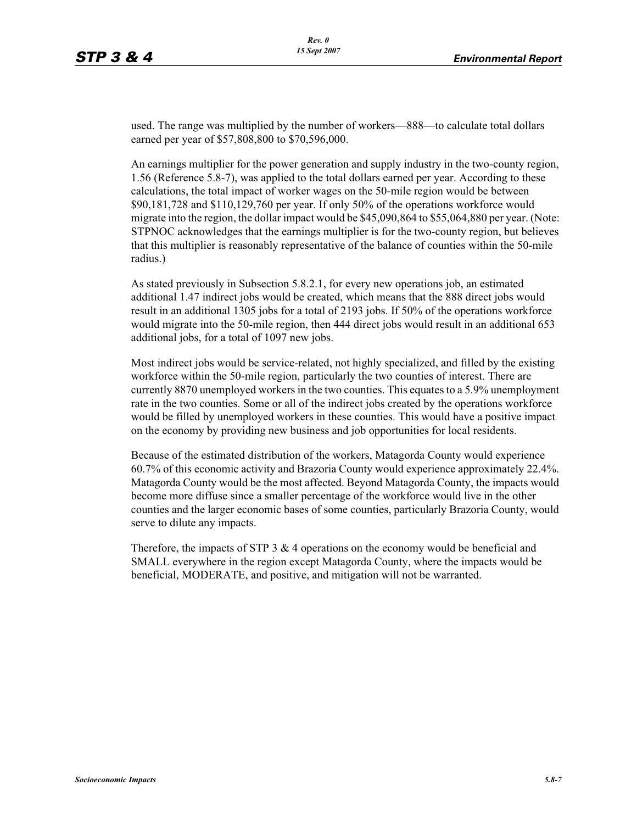used. The range was multiplied by the number of workers—888—to calculate total dollars earned per year of \$57,808,800 to \$70,596,000.

An earnings multiplier for the power generation and supply industry in the two-county region, 1.56 (Reference 5.8-7), was applied to the total dollars earned per year. According to these calculations, the total impact of worker wages on the 50-mile region would be between \$90,181,728 and \$110,129,760 per year. If only 50% of the operations workforce would migrate into the region, the dollar impact would be \$45,090,864 to \$55,064,880 per year. (Note: STPNOC acknowledges that the earnings multiplier is for the two-county region, but believes that this multiplier is reasonably representative of the balance of counties within the 50-mile radius.)

As stated previously in Subsection 5.8.2.1, for every new operations job, an estimated additional 1.47 indirect jobs would be created, which means that the 888 direct jobs would result in an additional 1305 jobs for a total of 2193 jobs. If 50% of the operations workforce would migrate into the 50-mile region, then 444 direct jobs would result in an additional 653 additional jobs, for a total of 1097 new jobs.

Most indirect jobs would be service-related, not highly specialized, and filled by the existing workforce within the 50-mile region, particularly the two counties of interest. There are currently 8870 unemployed workers in the two counties. This equates to a 5.9% unemployment rate in the two counties. Some or all of the indirect jobs created by the operations workforce would be filled by unemployed workers in these counties. This would have a positive impact on the economy by providing new business and job opportunities for local residents.

Because of the estimated distribution of the workers, Matagorda County would experience 60.7% of this economic activity and Brazoria County would experience approximately 22.4%. Matagorda County would be the most affected. Beyond Matagorda County, the impacts would become more diffuse since a smaller percentage of the workforce would live in the other counties and the larger economic bases of some counties, particularly Brazoria County, would serve to dilute any impacts.

Therefore, the impacts of STP 3  $\&$  4 operations on the economy would be beneficial and SMALL everywhere in the region except Matagorda County, where the impacts would be beneficial, MODERATE, and positive, and mitigation will not be warranted.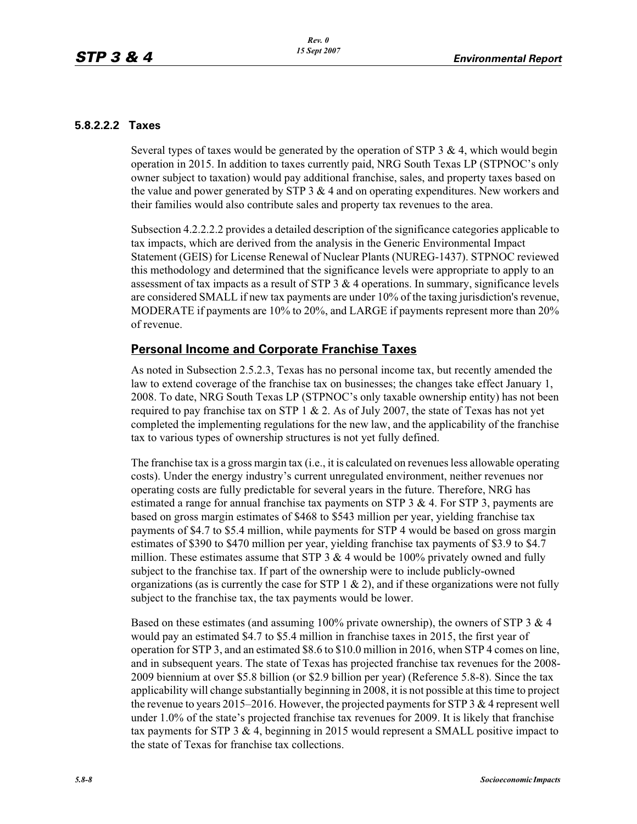### **5.8.2.2.2 Taxes**

Several types of taxes would be generated by the operation of STP 3 & 4, which would begin operation in 2015. In addition to taxes currently paid, NRG South Texas LP (STPNOC's only owner subject to taxation) would pay additional franchise, sales, and property taxes based on the value and power generated by STP  $3 \& 4$  and on operating expenditures. New workers and their families would also contribute sales and property tax revenues to the area.

Subsection 4.2.2.2.2 provides a detailed description of the significance categories applicable to tax impacts, which are derived from the analysis in the Generic Environmental Impact Statement (GEIS) for License Renewal of Nuclear Plants (NUREG-1437). STPNOC reviewed this methodology and determined that the significance levels were appropriate to apply to an assessment of tax impacts as a result of STP  $3 \& 4$  operations. In summary, significance levels are considered SMALL if new tax payments are under 10% of the taxing jurisdiction's revenue, MODERATE if payments are 10% to 20%, and LARGE if payments represent more than 20% of revenue.

## **Personal Income and Corporate Franchise Taxes**

As noted in Subsection 2.5.2.3, Texas has no personal income tax, but recently amended the law to extend coverage of the franchise tax on businesses; the changes take effect January 1, 2008. To date, NRG South Texas LP (STPNOC's only taxable ownership entity) has not been required to pay franchise tax on STP 1  $& 2$ . As of July 2007, the state of Texas has not yet completed the implementing regulations for the new law, and the applicability of the franchise tax to various types of ownership structures is not yet fully defined.

The franchise tax is a gross margin tax (i.e., it is calculated on revenues less allowable operating costs). Under the energy industry's current unregulated environment, neither revenues nor operating costs are fully predictable for several years in the future. Therefore, NRG has estimated a range for annual franchise tax payments on STP  $3 \& 4$ . For STP 3, payments are based on gross margin estimates of \$468 to \$543 million per year, yielding franchise tax payments of \$4.7 to \$5.4 million, while payments for STP 4 would be based on gross margin estimates of \$390 to \$470 million per year, yielding franchise tax payments of \$3.9 to \$4.7 million. These estimates assume that STP 3  $&$  4 would be 100% privately owned and fully subject to the franchise tax. If part of the ownership were to include publicly-owned organizations (as is currently the case for STP  $1 \& 2$ ), and if these organizations were not fully subject to the franchise tax, the tax payments would be lower.

Based on these estimates (and assuming  $100\%$  private ownership), the owners of STP 3 & 4 would pay an estimated \$4.7 to \$5.4 million in franchise taxes in 2015, the first year of operation for STP 3, and an estimated \$8.6 to \$10.0 million in 2016, when STP 4 comes on line, and in subsequent years. The state of Texas has projected franchise tax revenues for the 2008- 2009 biennium at over \$5.8 billion (or \$2.9 billion per year) (Reference 5.8-8). Since the tax applicability will change substantially beginning in 2008, it is not possible at this time to project the revenue to years 2015–2016. However, the projected payments for STP  $3 \& 4$  represent well under 1.0% of the state's projected franchise tax revenues for 2009. It is likely that franchise tax payments for STP 3  $\&$  4, beginning in 2015 would represent a SMALL positive impact to the state of Texas for franchise tax collections.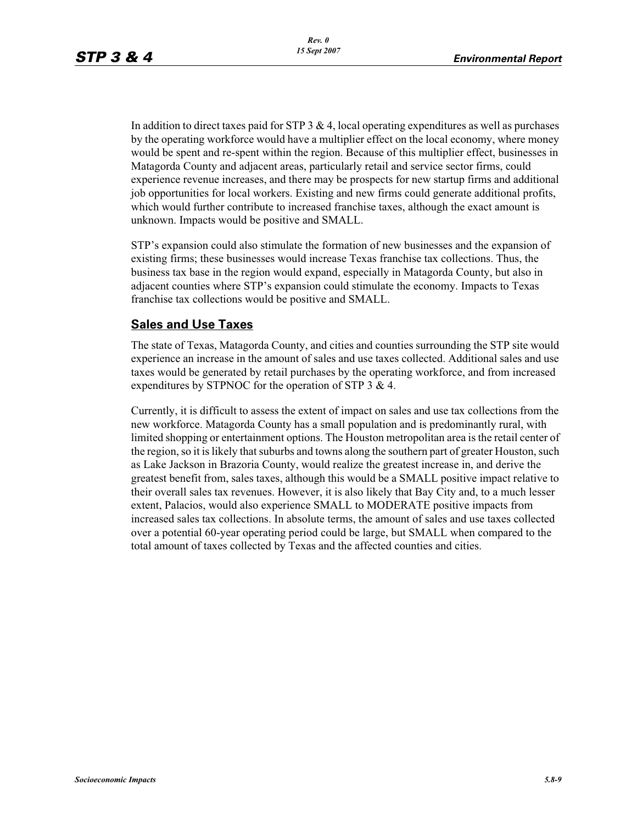In addition to direct taxes paid for STP  $3 \& 4$ , local operating expenditures as well as purchases by the operating workforce would have a multiplier effect on the local economy, where money would be spent and re-spent within the region. Because of this multiplier effect, businesses in Matagorda County and adjacent areas, particularly retail and service sector firms, could experience revenue increases, and there may be prospects for new startup firms and additional job opportunities for local workers. Existing and new firms could generate additional profits, which would further contribute to increased franchise taxes, although the exact amount is unknown. Impacts would be positive and SMALL.

STP's expansion could also stimulate the formation of new businesses and the expansion of existing firms; these businesses would increase Texas franchise tax collections. Thus, the business tax base in the region would expand, especially in Matagorda County, but also in adjacent counties where STP's expansion could stimulate the economy. Impacts to Texas franchise tax collections would be positive and SMALL.

## **Sales and Use Taxes**

The state of Texas, Matagorda County, and cities and counties surrounding the STP site would experience an increase in the amount of sales and use taxes collected. Additional sales and use taxes would be generated by retail purchases by the operating workforce, and from increased expenditures by STPNOC for the operation of STP 3 & 4.

Currently, it is difficult to assess the extent of impact on sales and use tax collections from the new workforce. Matagorda County has a small population and is predominantly rural, with limited shopping or entertainment options. The Houston metropolitan area is the retail center of the region, so it is likely that suburbs and towns along the southern part of greater Houston, such as Lake Jackson in Brazoria County, would realize the greatest increase in, and derive the greatest benefit from, sales taxes, although this would be a SMALL positive impact relative to their overall sales tax revenues. However, it is also likely that Bay City and, to a much lesser extent, Palacios, would also experience SMALL to MODERATE positive impacts from increased sales tax collections. In absolute terms, the amount of sales and use taxes collected over a potential 60-year operating period could be large, but SMALL when compared to the total amount of taxes collected by Texas and the affected counties and cities.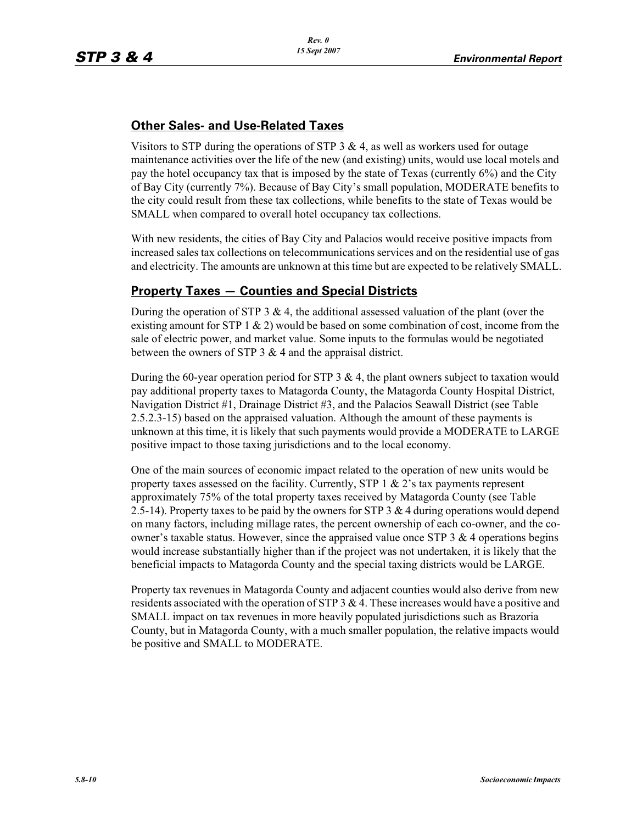# **Other Sales- and Use-Related Taxes**

Visitors to STP during the operations of STP  $3 \& 4$ , as well as workers used for outage maintenance activities over the life of the new (and existing) units, would use local motels and pay the hotel occupancy tax that is imposed by the state of Texas (currently 6%) and the City of Bay City (currently 7%). Because of Bay City's small population, MODERATE benefits to the city could result from these tax collections, while benefits to the state of Texas would be SMALL when compared to overall hotel occupancy tax collections.

With new residents, the cities of Bay City and Palacios would receive positive impacts from increased sales tax collections on telecommunications services and on the residential use of gas and electricity. The amounts are unknown at this time but are expected to be relatively SMALL.

# **Property Taxes — Counties and Special Districts**

During the operation of STP 3  $\&$  4, the additional assessed valuation of the plant (over the existing amount for STP 1  $\&$  2) would be based on some combination of cost, income from the sale of electric power, and market value. Some inputs to the formulas would be negotiated between the owners of STP  $3 \& 4$  and the appraisal district.

During the 60-year operation period for STP 3  $\&$  4, the plant owners subject to taxation would pay additional property taxes to Matagorda County, the Matagorda County Hospital District, Navigation District #1, Drainage District #3, and the Palacios Seawall District (see Table 2.5.2.3-15) based on the appraised valuation. Although the amount of these payments is unknown at this time, it is likely that such payments would provide a MODERATE to LARGE positive impact to those taxing jurisdictions and to the local economy.

One of the main sources of economic impact related to the operation of new units would be property taxes assessed on the facility. Currently, STP  $1 \& 2$ 's tax payments represent approximately 75% of the total property taxes received by Matagorda County (see Table 2.5-14). Property taxes to be paid by the owners for STP 3  $\&$  4 during operations would depend on many factors, including millage rates, the percent ownership of each co-owner, and the coowner's taxable status. However, since the appraised value once STP 3  $\&$  4 operations begins would increase substantially higher than if the project was not undertaken, it is likely that the beneficial impacts to Matagorda County and the special taxing districts would be LARGE.

Property tax revenues in Matagorda County and adjacent counties would also derive from new residents associated with the operation of STP  $3 \& 4$ . These increases would have a positive and SMALL impact on tax revenues in more heavily populated jurisdictions such as Brazoria County, but in Matagorda County, with a much smaller population, the relative impacts would be positive and SMALL to MODERATE.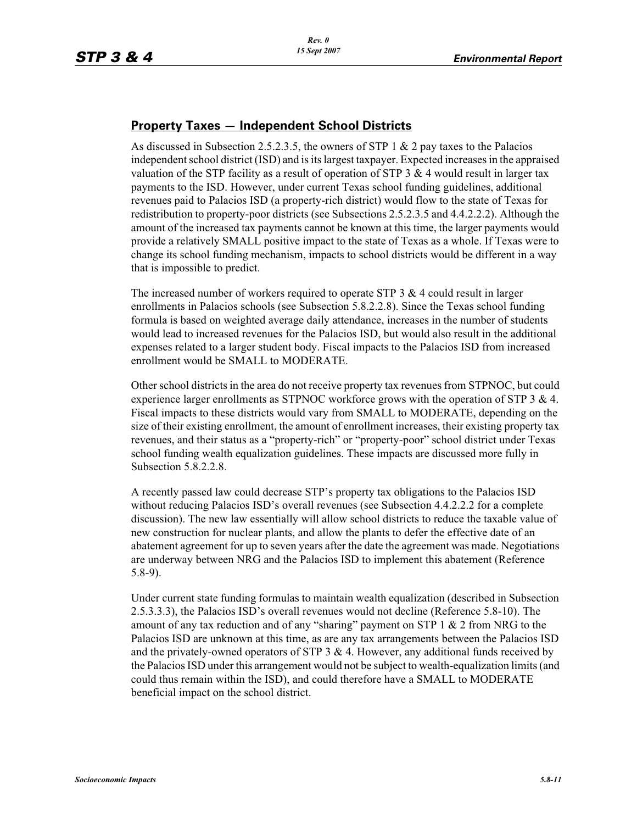## **Property Taxes — Independent School Districts**

As discussed in Subsection 2.5.2.3.5, the owners of STP 1  $\&$  2 pay taxes to the Palacios independent school district (ISD) and is its largest taxpayer. Expected increases in the appraised valuation of the STP facility as a result of operation of STP  $3 \& 4$  would result in larger tax payments to the ISD. However, under current Texas school funding guidelines, additional revenues paid to Palacios ISD (a property-rich district) would flow to the state of Texas for redistribution to property-poor districts (see Subsections 2.5.2.3.5 and 4.4.2.2.2). Although the amount of the increased tax payments cannot be known at this time, the larger payments would provide a relatively SMALL positive impact to the state of Texas as a whole. If Texas were to change its school funding mechanism, impacts to school districts would be different in a way that is impossible to predict.

The increased number of workers required to operate STP  $3 \& 4$  could result in larger enrollments in Palacios schools (see Subsection 5.8.2.2.8). Since the Texas school funding formula is based on weighted average daily attendance, increases in the number of students would lead to increased revenues for the Palacios ISD, but would also result in the additional expenses related to a larger student body. Fiscal impacts to the Palacios ISD from increased enrollment would be SMALL to MODERATE.

Other school districts in the area do not receive property tax revenues from STPNOC, but could experience larger enrollments as STPNOC workforce grows with the operation of STP 3 & 4. Fiscal impacts to these districts would vary from SMALL to MODERATE, depending on the size of their existing enrollment, the amount of enrollment increases, their existing property tax revenues, and their status as a "property-rich" or "property-poor" school district under Texas school funding wealth equalization guidelines. These impacts are discussed more fully in Subsection 5.8.2.2.8.

A recently passed law could decrease STP's property tax obligations to the Palacios ISD without reducing Palacios ISD's overall revenues (see Subsection 4.4.2.2.2 for a complete discussion). The new law essentially will allow school districts to reduce the taxable value of new construction for nuclear plants, and allow the plants to defer the effective date of an abatement agreement for up to seven years after the date the agreement was made. Negotiations are underway between NRG and the Palacios ISD to implement this abatement (Reference 5.8-9).

Under current state funding formulas to maintain wealth equalization (described in Subsection 2.5.3.3.3), the Palacios ISD's overall revenues would not decline (Reference 5.8-10). The amount of any tax reduction and of any "sharing" payment on STP  $1 \& 2$  from NRG to the Palacios ISD are unknown at this time, as are any tax arrangements between the Palacios ISD and the privately-owned operators of STP 3  $\&$  4. However, any additional funds received by the Palacios ISD under this arrangement would not be subject to wealth-equalization limits (and could thus remain within the ISD), and could therefore have a SMALL to MODERATE beneficial impact on the school district.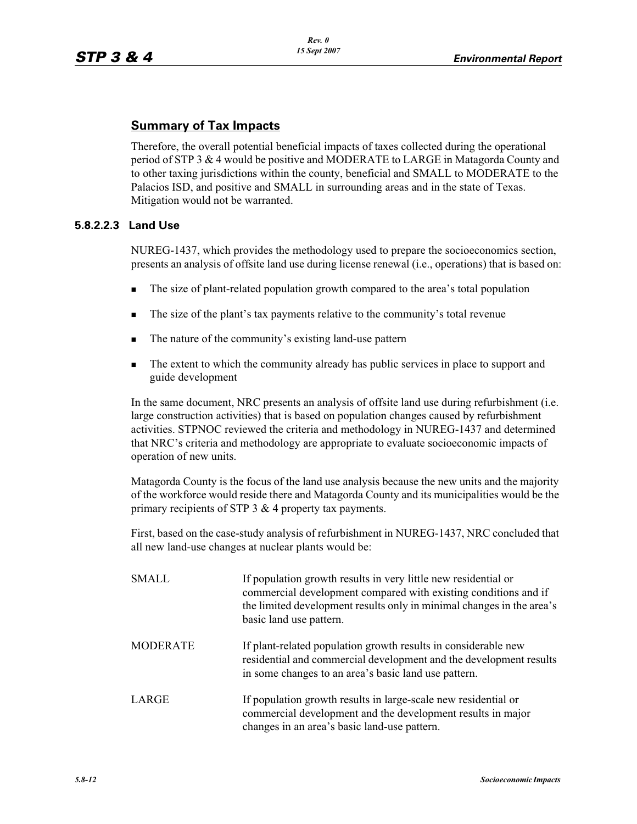## **Summary of Tax Impacts**

Therefore, the overall potential beneficial impacts of taxes collected during the operational period of STP 3 & 4 would be positive and MODERATE to LARGE in Matagorda County and to other taxing jurisdictions within the county, beneficial and SMALL to MODERATE to the Palacios ISD, and positive and SMALL in surrounding areas and in the state of Texas. Mitigation would not be warranted.

### **5.8.2.2.3 Land Use**

NUREG-1437, which provides the methodology used to prepare the socioeconomics section, presents an analysis of offsite land use during license renewal (i.e., operations) that is based on:

- -The size of plant-related population growth compared to the area's total population
- -The size of the plant's tax payments relative to the community's total revenue
- -The nature of the community's existing land-use pattern
- - The extent to which the community already has public services in place to support and guide development

In the same document, NRC presents an analysis of offsite land use during refurbishment (i.e. large construction activities) that is based on population changes caused by refurbishment activities. STPNOC reviewed the criteria and methodology in NUREG-1437 and determined that NRC's criteria and methodology are appropriate to evaluate socioeconomic impacts of operation of new units.

Matagorda County is the focus of the land use analysis because the new units and the majority of the workforce would reside there and Matagorda County and its municipalities would be the primary recipients of STP  $3 \& 4$  property tax payments.

First, based on the case-study analysis of refurbishment in NUREG-1437, NRC concluded that all new land-use changes at nuclear plants would be:

| <b>SMALL</b>    | If population growth results in very little new residential or<br>commercial development compared with existing conditions and if<br>the limited development results only in minimal changes in the area's<br>basic land use pattern. |  |  |  |
|-----------------|---------------------------------------------------------------------------------------------------------------------------------------------------------------------------------------------------------------------------------------|--|--|--|
| <b>MODERATE</b> | If plant-related population growth results in considerable new<br>residential and commercial development and the development results<br>in some changes to an area's basic land use pattern.                                          |  |  |  |
| LARGE           | If population growth results in large-scale new residential or<br>commercial development and the development results in major<br>changes in an area's basic land-use pattern.                                                         |  |  |  |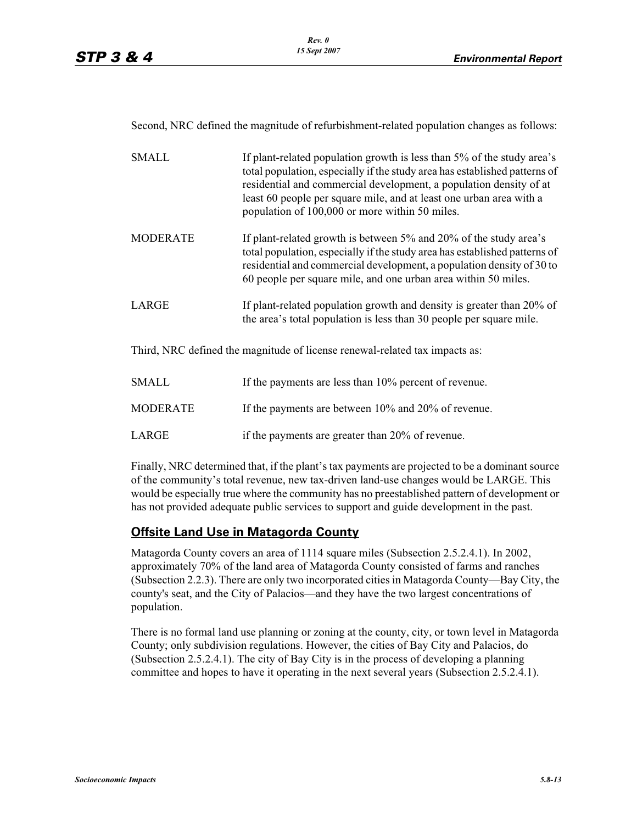Second, NRC defined the magnitude of refurbishment-related population changes as follows:

| <b>SMALL</b>    | If plant-related population growth is less than 5% of the study area's<br>total population, especially if the study area has established patterns of<br>residential and commercial development, a population density of at<br>least 60 people per square mile, and at least one urban area with a<br>population of 100,000 or more within 50 miles. |  |  |  |
|-----------------|-----------------------------------------------------------------------------------------------------------------------------------------------------------------------------------------------------------------------------------------------------------------------------------------------------------------------------------------------------|--|--|--|
| <b>MODERATE</b> | If plant-related growth is between 5% and 20% of the study area's<br>total population, especially if the study area has established patterns of<br>residential and commercial development, a population density of 30 to<br>60 people per square mile, and one urban area within 50 miles.                                                          |  |  |  |
| LARGE           | If plant-related population growth and density is greater than 20% of<br>the area's total population is less than 30 people per square mile.                                                                                                                                                                                                        |  |  |  |

Third, NRC defined the magnitude of license renewal-related tax impacts as:

| <b>SMALL</b>    | If the payments are less than 10% percent of revenue. |
|-----------------|-------------------------------------------------------|
| <b>MODERATE</b> | If the payments are between 10% and 20% of revenue.   |
| LARGE           | if the payments are greater than 20% of revenue.      |

Finally, NRC determined that, if the plant's tax payments are projected to be a dominant source of the community's total revenue, new tax-driven land-use changes would be LARGE. This would be especially true where the community has no preestablished pattern of development or has not provided adequate public services to support and guide development in the past.

## **Offsite Land Use in Matagorda County**

Matagorda County covers an area of 1114 square miles (Subsection 2.5.2.4.1). In 2002, approximately 70% of the land area of Matagorda County consisted of farms and ranches (Subsection 2.2.3). There are only two incorporated cities in Matagorda County—Bay City, the county's seat, and the City of Palacios—and they have the two largest concentrations of population.

There is no formal land use planning or zoning at the county, city, or town level in Matagorda County; only subdivision regulations. However, the cities of Bay City and Palacios, do (Subsection 2.5.2.4.1). The city of Bay City is in the process of developing a planning committee and hopes to have it operating in the next several years (Subsection 2.5.2.4.1).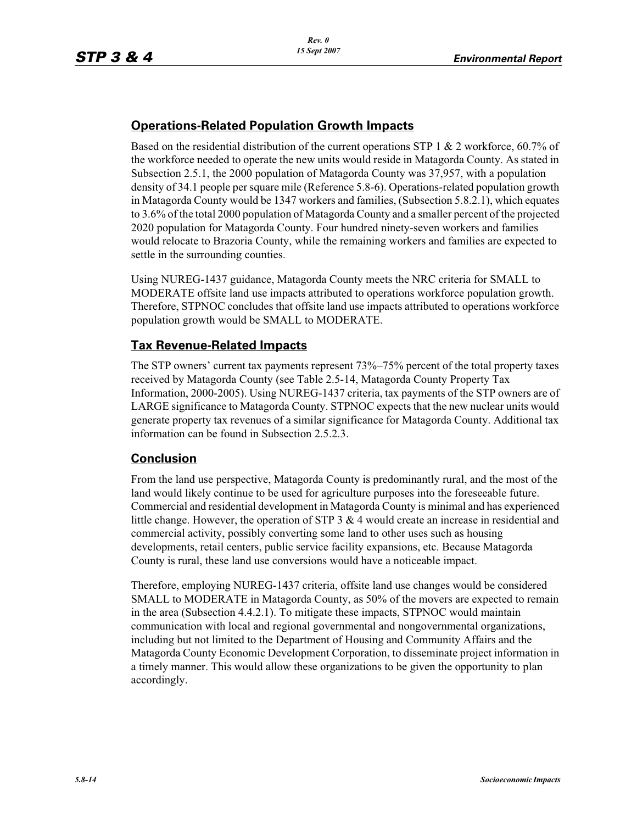# **Operations-Related Population Growth Impacts**

Based on the residential distribution of the current operations STP 1 & 2 workforce, 60.7% of the workforce needed to operate the new units would reside in Matagorda County. As stated in Subsection 2.5.1, the 2000 population of Matagorda County was 37,957, with a population density of 34.1 people per square mile (Reference 5.8-6). Operations-related population growth in Matagorda County would be 1347 workers and families, (Subsection 5.8.2.1), which equates to 3.6% of the total 2000 population of Matagorda County and a smaller percent of the projected 2020 population for Matagorda County. Four hundred ninety-seven workers and families would relocate to Brazoria County, while the remaining workers and families are expected to settle in the surrounding counties.

Using NUREG-1437 guidance, Matagorda County meets the NRC criteria for SMALL to MODERATE offsite land use impacts attributed to operations workforce population growth. Therefore, STPNOC concludes that offsite land use impacts attributed to operations workforce population growth would be SMALL to MODERATE.

# **Tax Revenue-Related Impacts**

The STP owners' current tax payments represent 73%–75% percent of the total property taxes received by Matagorda County (see Table 2.5-14, Matagorda County Property Tax Information, 2000-2005). Using NUREG-1437 criteria, tax payments of the STP owners are of LARGE significance to Matagorda County. STPNOC expects that the new nuclear units would generate property tax revenues of a similar significance for Matagorda County. Additional tax information can be found in Subsection 2.5.2.3.

## **Conclusion**

From the land use perspective, Matagorda County is predominantly rural, and the most of the land would likely continue to be used for agriculture purposes into the foreseeable future. Commercial and residential development in Matagorda County is minimal and has experienced little change. However, the operation of STP 3  $\&$  4 would create an increase in residential and commercial activity, possibly converting some land to other uses such as housing developments, retail centers, public service facility expansions, etc. Because Matagorda County is rural, these land use conversions would have a noticeable impact.

Therefore, employing NUREG-1437 criteria, offsite land use changes would be considered SMALL to MODERATE in Matagorda County, as 50% of the movers are expected to remain in the area (Subsection 4.4.2.1). To mitigate these impacts, STPNOC would maintain communication with local and regional governmental and nongovernmental organizations, including but not limited to the Department of Housing and Community Affairs and the Matagorda County Economic Development Corporation, to disseminate project information in a timely manner. This would allow these organizations to be given the opportunity to plan accordingly.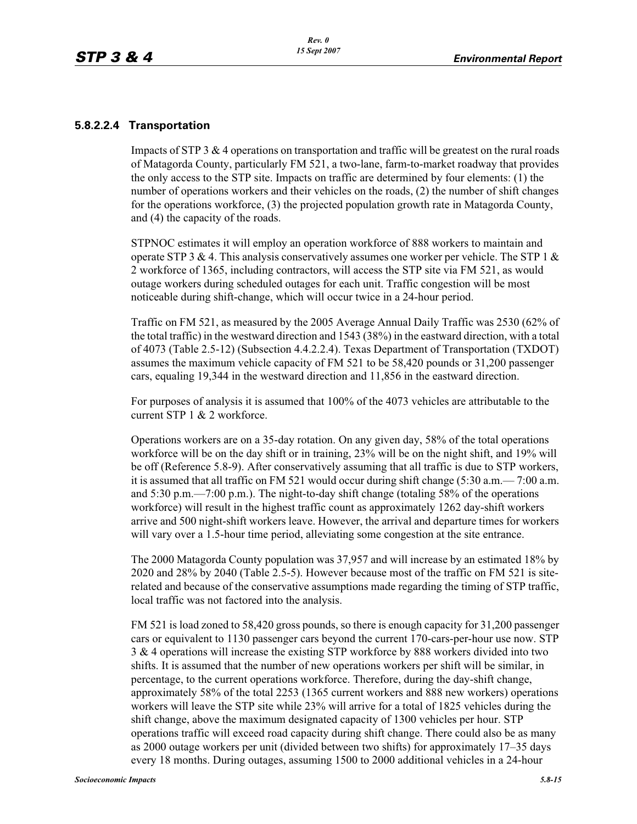### **5.8.2.2.4 Transportation**

Impacts of STP 3 & 4 operations on transportation and traffic will be greatest on the rural roads of Matagorda County, particularly FM 521, a two-lane, farm-to-market roadway that provides the only access to the STP site. Impacts on traffic are determined by four elements: (1) the number of operations workers and their vehicles on the roads, (2) the number of shift changes for the operations workforce, (3) the projected population growth rate in Matagorda County, and (4) the capacity of the roads.

STPNOC estimates it will employ an operation workforce of 888 workers to maintain and operate STP 3 & 4. This analysis conservatively assumes one worker per vehicle. The STP 1  $\&$ 2 workforce of 1365, including contractors, will access the STP site via FM 521, as would outage workers during scheduled outages for each unit. Traffic congestion will be most noticeable during shift-change, which will occur twice in a 24-hour period.

Traffic on FM 521, as measured by the 2005 Average Annual Daily Traffic was 2530 (62% of the total traffic) in the westward direction and 1543 (38%) in the eastward direction, with a total of 4073 (Table 2.5-12) (Subsection 4.4.2.2.4). Texas Department of Transportation (TXDOT) assumes the maximum vehicle capacity of FM 521 to be 58,420 pounds or 31,200 passenger cars, equaling 19,344 in the westward direction and 11,856 in the eastward direction.

For purposes of analysis it is assumed that 100% of the 4073 vehicles are attributable to the current STP 1 & 2 workforce.

Operations workers are on a 35-day rotation. On any given day, 58% of the total operations workforce will be on the day shift or in training, 23% will be on the night shift, and 19% will be off (Reference 5.8-9). After conservatively assuming that all traffic is due to STP workers, it is assumed that all traffic on FM 521 would occur during shift change (5:30 a.m.— 7:00 a.m. and 5:30 p.m.—7:00 p.m.). The night-to-day shift change (totaling 58% of the operations workforce) will result in the highest traffic count as approximately 1262 day-shift workers arrive and 500 night-shift workers leave. However, the arrival and departure times for workers will vary over a 1.5-hour time period, alleviating some congestion at the site entrance.

The 2000 Matagorda County population was 37,957 and will increase by an estimated 18% by 2020 and 28% by 2040 (Table 2.5-5). However because most of the traffic on FM 521 is siterelated and because of the conservative assumptions made regarding the timing of STP traffic, local traffic was not factored into the analysis.

FM 521 is load zoned to 58,420 gross pounds, so there is enough capacity for 31,200 passenger cars or equivalent to 1130 passenger cars beyond the current 170-cars-per-hour use now. STP 3 & 4 operations will increase the existing STP workforce by 888 workers divided into two shifts. It is assumed that the number of new operations workers per shift will be similar, in percentage, to the current operations workforce. Therefore, during the day-shift change, approximately 58% of the total 2253 (1365 current workers and 888 new workers) operations workers will leave the STP site while 23% will arrive for a total of 1825 vehicles during the shift change, above the maximum designated capacity of 1300 vehicles per hour. STP operations traffic will exceed road capacity during shift change. There could also be as many as 2000 outage workers per unit (divided between two shifts) for approximately 17–35 days every 18 months. During outages, assuming 1500 to 2000 additional vehicles in a 24-hour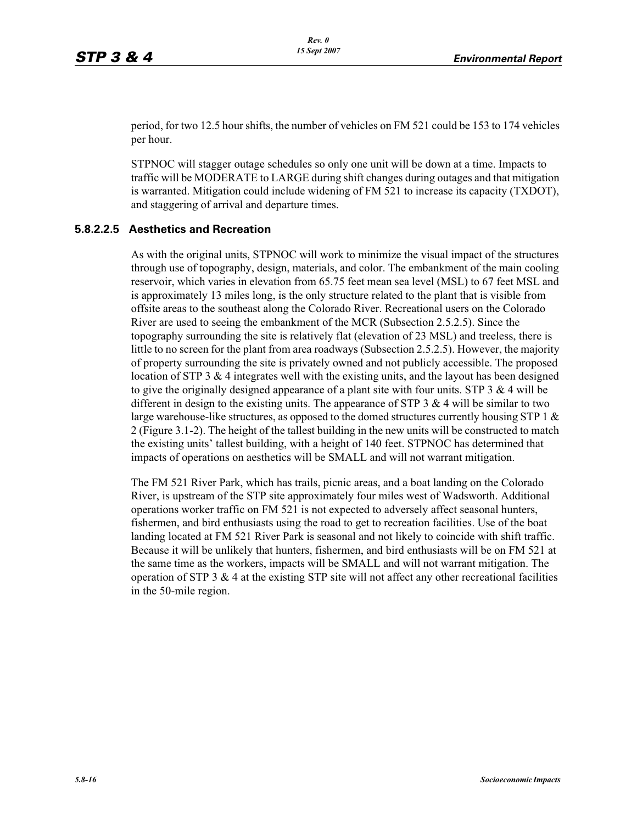period, for two 12.5 hour shifts, the number of vehicles on FM 521 could be 153 to 174 vehicles per hour.

STPNOC will stagger outage schedules so only one unit will be down at a time. Impacts to traffic will be MODERATE to LARGE during shift changes during outages and that mitigation is warranted. Mitigation could include widening of FM 521 to increase its capacity (TXDOT), and staggering of arrival and departure times.

### **5.8.2.2.5 Aesthetics and Recreation**

As with the original units, STPNOC will work to minimize the visual impact of the structures through use of topography, design, materials, and color. The embankment of the main cooling reservoir, which varies in elevation from 65.75 feet mean sea level (MSL) to 67 feet MSL and is approximately 13 miles long, is the only structure related to the plant that is visible from offsite areas to the southeast along the Colorado River. Recreational users on the Colorado River are used to seeing the embankment of the MCR (Subsection 2.5.2.5). Since the topography surrounding the site is relatively flat (elevation of 23 MSL) and treeless, there is little to no screen for the plant from area roadways (Subsection 2.5.2.5). However, the majority of property surrounding the site is privately owned and not publicly accessible. The proposed location of STP 3  $\&$  4 integrates well with the existing units, and the layout has been designed to give the originally designed appearance of a plant site with four units. STP  $3 \& 4$  will be different in design to the existing units. The appearance of STP 3  $\&$  4 will be similar to two large warehouse-like structures, as opposed to the domed structures currently housing STP 1  $\&$ 2 (Figure 3.1-2). The height of the tallest building in the new units will be constructed to match the existing units' tallest building, with a height of 140 feet. STPNOC has determined that impacts of operations on aesthetics will be SMALL and will not warrant mitigation.

The FM 521 River Park, which has trails, picnic areas, and a boat landing on the Colorado River, is upstream of the STP site approximately four miles west of Wadsworth. Additional operations worker traffic on FM 521 is not expected to adversely affect seasonal hunters, fishermen, and bird enthusiasts using the road to get to recreation facilities. Use of the boat landing located at FM 521 River Park is seasonal and not likely to coincide with shift traffic. Because it will be unlikely that hunters, fishermen, and bird enthusiasts will be on FM 521 at the same time as the workers, impacts will be SMALL and will not warrant mitigation. The operation of STP  $3 \& 4$  at the existing STP site will not affect any other recreational facilities in the 50-mile region.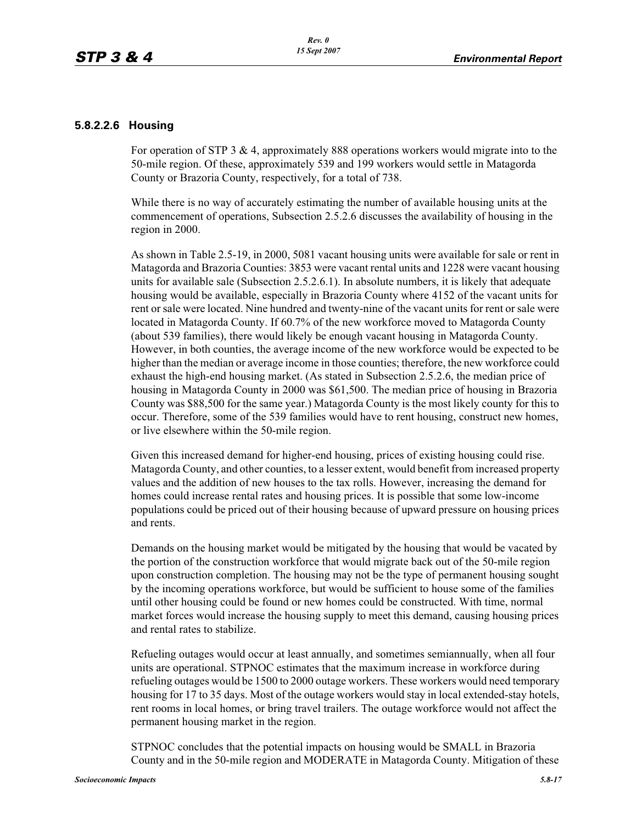### **5.8.2.2.6 Housing**

For operation of STP 3 & 4, approximately 888 operations workers would migrate into to the 50-mile region. Of these, approximately 539 and 199 workers would settle in Matagorda County or Brazoria County, respectively, for a total of 738.

While there is no way of accurately estimating the number of available housing units at the commencement of operations, Subsection 2.5.2.6 discusses the availability of housing in the region in 2000.

As shown in Table 2.5-19, in 2000, 5081 vacant housing units were available for sale or rent in Matagorda and Brazoria Counties: 3853 were vacant rental units and 1228 were vacant housing units for available sale (Subsection 2.5.2.6.1). In absolute numbers, it is likely that adequate housing would be available, especially in Brazoria County where 4152 of the vacant units for rent or sale were located. Nine hundred and twenty-nine of the vacant units for rent or sale were located in Matagorda County. If 60.7% of the new workforce moved to Matagorda County (about 539 families), there would likely be enough vacant housing in Matagorda County. However, in both counties, the average income of the new workforce would be expected to be higher than the median or average income in those counties; therefore, the new workforce could exhaust the high-end housing market. (As stated in Subsection 2.5.2.6, the median price of housing in Matagorda County in 2000 was \$61,500. The median price of housing in Brazoria County was \$88,500 for the same year.) Matagorda County is the most likely county for this to occur. Therefore, some of the 539 families would have to rent housing, construct new homes, or live elsewhere within the 50-mile region.

Given this increased demand for higher-end housing, prices of existing housing could rise. Matagorda County, and other counties, to a lesser extent, would benefit from increased property values and the addition of new houses to the tax rolls. However, increasing the demand for homes could increase rental rates and housing prices. It is possible that some low-income populations could be priced out of their housing because of upward pressure on housing prices and rents.

Demands on the housing market would be mitigated by the housing that would be vacated by the portion of the construction workforce that would migrate back out of the 50-mile region upon construction completion. The housing may not be the type of permanent housing sought by the incoming operations workforce, but would be sufficient to house some of the families until other housing could be found or new homes could be constructed. With time, normal market forces would increase the housing supply to meet this demand, causing housing prices and rental rates to stabilize.

Refueling outages would occur at least annually, and sometimes semiannually, when all four units are operational. STPNOC estimates that the maximum increase in workforce during refueling outages would be 1500 to 2000 outage workers. These workers would need temporary housing for 17 to 35 days. Most of the outage workers would stay in local extended-stay hotels, rent rooms in local homes, or bring travel trailers. The outage workforce would not affect the permanent housing market in the region.

STPNOC concludes that the potential impacts on housing would be SMALL in Brazoria County and in the 50-mile region and MODERATE in Matagorda County. Mitigation of these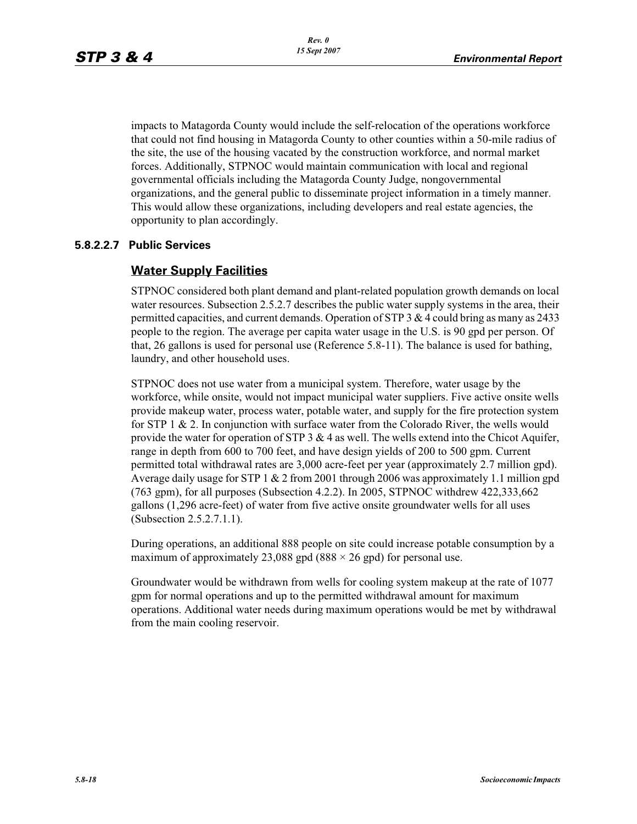impacts to Matagorda County would include the self-relocation of the operations workforce that could not find housing in Matagorda County to other counties within a 50-mile radius of the site, the use of the housing vacated by the construction workforce, and normal market forces. Additionally, STPNOC would maintain communication with local and regional governmental officials including the Matagorda County Judge, nongovernmental organizations, and the general public to disseminate project information in a timely manner. This would allow these organizations, including developers and real estate agencies, the opportunity to plan accordingly.

### **5.8.2.2.7 Public Services**

## **Water Supply Facilities**

STPNOC considered both plant demand and plant-related population growth demands on local water resources. Subsection 2.5.2.7 describes the public water supply systems in the area, their permitted capacities, and current demands. Operation of STP 3  $\&$  4 could bring as many as 2433 people to the region. The average per capita water usage in the U.S. is 90 gpd per person. Of that, 26 gallons is used for personal use (Reference 5.8-11). The balance is used for bathing, laundry, and other household uses.

STPNOC does not use water from a municipal system. Therefore, water usage by the workforce, while onsite, would not impact municipal water suppliers. Five active onsite wells provide makeup water, process water, potable water, and supply for the fire protection system for STP 1 & 2. In conjunction with surface water from the Colorado River, the wells would provide the water for operation of STP  $3 \& 4$  as well. The wells extend into the Chicot Aquifer, range in depth from 600 to 700 feet, and have design yields of 200 to 500 gpm. Current permitted total withdrawal rates are 3,000 acre-feet per year (approximately 2.7 million gpd). Average daily usage for STP 1 & 2 from 2001 through 2006 was approximately 1.1 million gpd (763 gpm), for all purposes (Subsection 4.2.2). In 2005, STPNOC withdrew 422,333,662 gallons (1,296 acre-feet) of water from five active onsite groundwater wells for all uses (Subsection 2.5.2.7.1.1).

During operations, an additional 888 people on site could increase potable consumption by a maximum of approximately 23,088 gpd (888  $\times$  26 gpd) for personal use.

Groundwater would be withdrawn from wells for cooling system makeup at the rate of 1077 gpm for normal operations and up to the permitted withdrawal amount for maximum operations. Additional water needs during maximum operations would be met by withdrawal from the main cooling reservoir.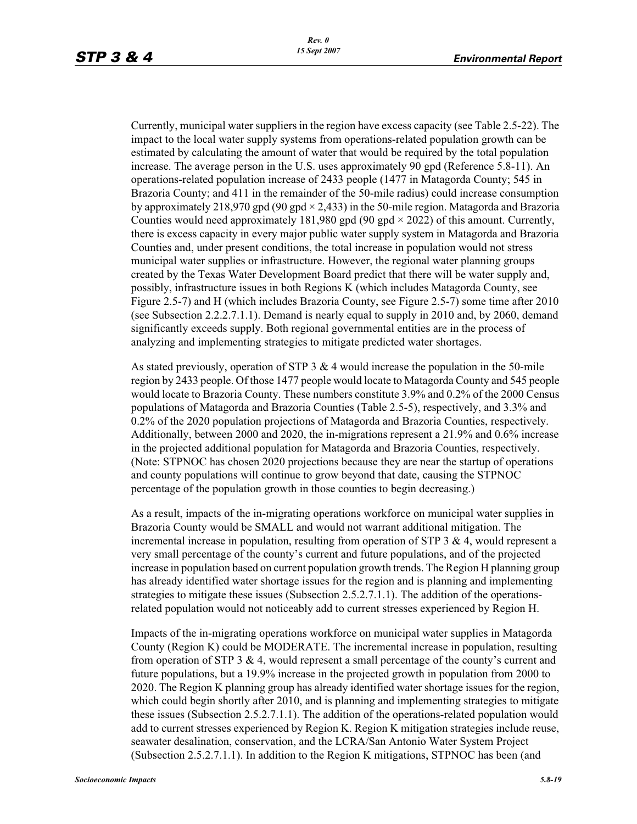Currently, municipal water suppliers in the region have excess capacity (see Table 2.5-22). The impact to the local water supply systems from operations-related population growth can be estimated by calculating the amount of water that would be required by the total population increase. The average person in the U.S. uses approximately 90 gpd (Reference 5.8-11). An operations-related population increase of 2433 people (1477 in Matagorda County; 545 in Brazoria County; and 411 in the remainder of the 50-mile radius) could increase consumption by approximately 218,970 gpd (90 gpd  $\times$  2,433) in the 50-mile region. Matagorda and Brazoria Counties would need approximately 181,980 gpd (90 gpd  $\times$  2022) of this amount. Currently, there is excess capacity in every major public water supply system in Matagorda and Brazoria Counties and, under present conditions, the total increase in population would not stress municipal water supplies or infrastructure. However, the regional water planning groups created by the Texas Water Development Board predict that there will be water supply and, possibly, infrastructure issues in both Regions K (which includes Matagorda County, see Figure 2.5-7) and H (which includes Brazoria County, see Figure 2.5-7) some time after 2010 (see Subsection 2.2.2.7.1.1). Demand is nearly equal to supply in 2010 and, by 2060, demand significantly exceeds supply. Both regional governmental entities are in the process of analyzing and implementing strategies to mitigate predicted water shortages.

As stated previously, operation of STP 3  $\&$  4 would increase the population in the 50-mile region by 2433 people. Of those 1477 people would locate to Matagorda County and 545 people would locate to Brazoria County. These numbers constitute 3.9% and 0.2% of the 2000 Census populations of Matagorda and Brazoria Counties (Table 2.5-5), respectively, and 3.3% and 0.2% of the 2020 population projections of Matagorda and Brazoria Counties, respectively. Additionally, between 2000 and 2020, the in-migrations represent a 21.9% and 0.6% increase in the projected additional population for Matagorda and Brazoria Counties, respectively. (Note: STPNOC has chosen 2020 projections because they are near the startup of operations and county populations will continue to grow beyond that date, causing the STPNOC percentage of the population growth in those counties to begin decreasing.)

As a result, impacts of the in-migrating operations workforce on municipal water supplies in Brazoria County would be SMALL and would not warrant additional mitigation. The incremental increase in population, resulting from operation of STP 3  $\&$  4, would represent a very small percentage of the county's current and future populations, and of the projected increase in population based on current population growth trends. The Region H planning group has already identified water shortage issues for the region and is planning and implementing strategies to mitigate these issues (Subsection 2.5.2.7.1.1). The addition of the operationsrelated population would not noticeably add to current stresses experienced by Region H.

Impacts of the in-migrating operations workforce on municipal water supplies in Matagorda County (Region K) could be MODERATE. The incremental increase in population, resulting from operation of STP 3  $\&$  4, would represent a small percentage of the county's current and future populations, but a 19.9% increase in the projected growth in population from 2000 to 2020. The Region K planning group has already identified water shortage issues for the region, which could begin shortly after 2010, and is planning and implementing strategies to mitigate these issues (Subsection 2.5.2.7.1.1). The addition of the operations-related population would add to current stresses experienced by Region K. Region K mitigation strategies include reuse, seawater desalination, conservation, and the LCRA/San Antonio Water System Project (Subsection 2.5.2.7.1.1). In addition to the Region K mitigations, STPNOC has been (and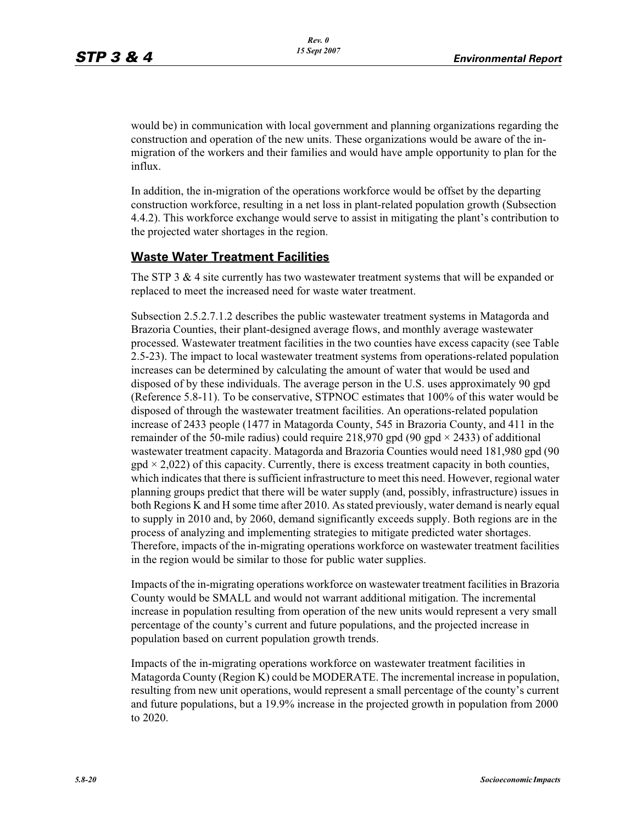would be) in communication with local government and planning organizations regarding the construction and operation of the new units. These organizations would be aware of the inmigration of the workers and their families and would have ample opportunity to plan for the influx.

In addition, the in-migration of the operations workforce would be offset by the departing construction workforce, resulting in a net loss in plant-related population growth (Subsection 4.4.2). This workforce exchange would serve to assist in mitigating the plant's contribution to the projected water shortages in the region.

## **Waste Water Treatment Facilities**

The STP 3  $\&$  4 site currently has two wastewater treatment systems that will be expanded or replaced to meet the increased need for waste water treatment.

Subsection 2.5.2.7.1.2 describes the public wastewater treatment systems in Matagorda and Brazoria Counties, their plant-designed average flows, and monthly average wastewater processed. Wastewater treatment facilities in the two counties have excess capacity (see Table 2.5-23). The impact to local wastewater treatment systems from operations-related population increases can be determined by calculating the amount of water that would be used and disposed of by these individuals. The average person in the U.S. uses approximately 90 gpd (Reference 5.8-11). To be conservative, STPNOC estimates that 100% of this water would be disposed of through the wastewater treatment facilities. An operations-related population increase of 2433 people (1477 in Matagorda County, 545 in Brazoria County, and 411 in the remainder of the 50-mile radius) could require 218,970 gpd (90 gpd  $\times$  2433) of additional wastewater treatment capacity. Matagorda and Brazoria Counties would need 181,980 gpd (90  $\text{gpd} \times 2.022$ ) of this capacity. Currently, there is excess treatment capacity in both counties, which indicates that there is sufficient infrastructure to meet this need. However, regional water planning groups predict that there will be water supply (and, possibly, infrastructure) issues in both Regions K and H some time after 2010. As stated previously, water demand is nearly equal to supply in 2010 and, by 2060, demand significantly exceeds supply. Both regions are in the process of analyzing and implementing strategies to mitigate predicted water shortages. Therefore, impacts of the in-migrating operations workforce on wastewater treatment facilities in the region would be similar to those for public water supplies.

Impacts of the in-migrating operations workforce on wastewater treatment facilities in Brazoria County would be SMALL and would not warrant additional mitigation. The incremental increase in population resulting from operation of the new units would represent a very small percentage of the county's current and future populations, and the projected increase in population based on current population growth trends.

Impacts of the in-migrating operations workforce on wastewater treatment facilities in Matagorda County (Region K) could be MODERATE. The incremental increase in population, resulting from new unit operations, would represent a small percentage of the county's current and future populations, but a 19.9% increase in the projected growth in population from 2000 to 2020.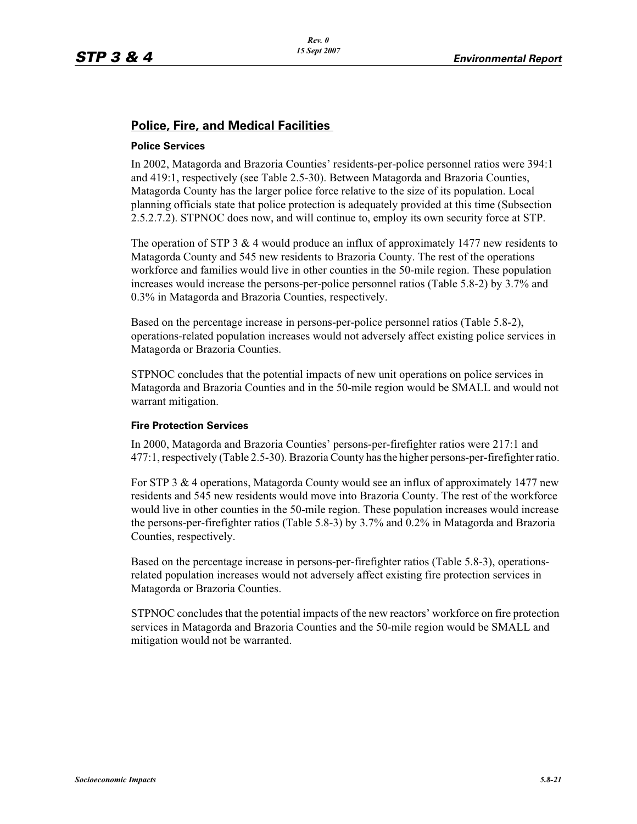## **Police, Fire, and Medical Facilities**

### **Police Services**

In 2002, Matagorda and Brazoria Counties' residents-per-police personnel ratios were 394:1 and 419:1, respectively (see Table 2.5-30). Between Matagorda and Brazoria Counties, Matagorda County has the larger police force relative to the size of its population. Local planning officials state that police protection is adequately provided at this time (Subsection 2.5.2.7.2). STPNOC does now, and will continue to, employ its own security force at STP.

The operation of STP 3  $\&$  4 would produce an influx of approximately 1477 new residents to Matagorda County and 545 new residents to Brazoria County. The rest of the operations workforce and families would live in other counties in the 50-mile region. These population increases would increase the persons-per-police personnel ratios (Table 5.8-2) by 3.7% and 0.3% in Matagorda and Brazoria Counties, respectively.

Based on the percentage increase in persons-per-police personnel ratios (Table 5.8-2), operations-related population increases would not adversely affect existing police services in Matagorda or Brazoria Counties.

STPNOC concludes that the potential impacts of new unit operations on police services in Matagorda and Brazoria Counties and in the 50-mile region would be SMALL and would not warrant mitigation.

### **Fire Protection Services**

In 2000, Matagorda and Brazoria Counties' persons-per-firefighter ratios were 217:1 and 477:1, respectively (Table 2.5-30). Brazoria County has the higher persons-per-firefighter ratio.

For STP 3 & 4 operations, Matagorda County would see an influx of approximately 1477 new residents and 545 new residents would move into Brazoria County. The rest of the workforce would live in other counties in the 50-mile region. These population increases would increase the persons-per-firefighter ratios (Table 5.8-3) by 3.7% and 0.2% in Matagorda and Brazoria Counties, respectively.

Based on the percentage increase in persons-per-firefighter ratios (Table 5.8-3), operationsrelated population increases would not adversely affect existing fire protection services in Matagorda or Brazoria Counties.

STPNOC concludes that the potential impacts of the new reactors' workforce on fire protection services in Matagorda and Brazoria Counties and the 50-mile region would be SMALL and mitigation would not be warranted.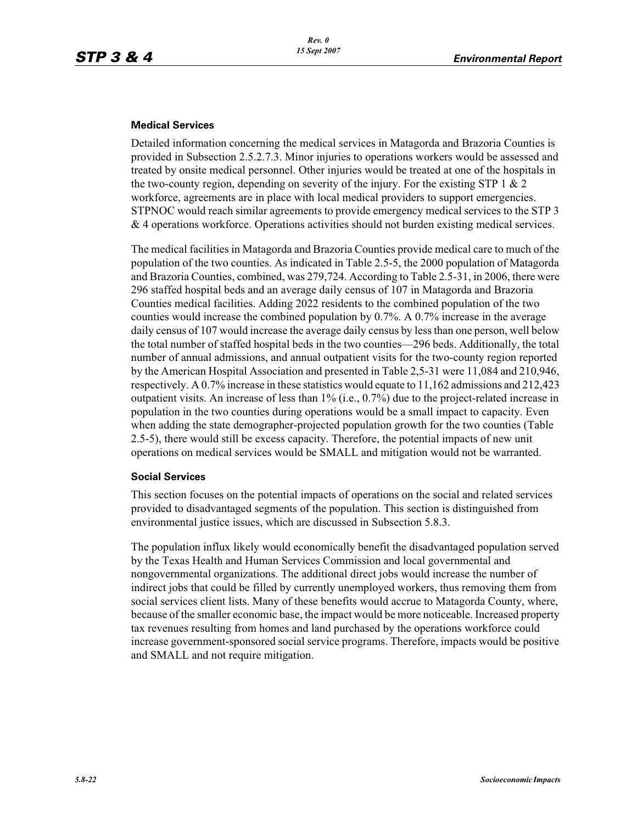#### **Medical Services**

Detailed information concerning the medical services in Matagorda and Brazoria Counties is provided in Subsection 2.5.2.7.3. Minor injuries to operations workers would be assessed and treated by onsite medical personnel. Other injuries would be treated at one of the hospitals in the two-county region, depending on severity of the injury. For the existing STP 1  $\&$  2 workforce, agreements are in place with local medical providers to support emergencies. STPNOC would reach similar agreements to provide emergency medical services to the STP 3 & 4 operations workforce. Operations activities should not burden existing medical services.

The medical facilities in Matagorda and Brazoria Counties provide medical care to much of the population of the two counties. As indicated in Table 2.5-5, the 2000 population of Matagorda and Brazoria Counties, combined, was 279,724. According to Table 2.5-31, in 2006, there were 296 staffed hospital beds and an average daily census of 107 in Matagorda and Brazoria Counties medical facilities. Adding 2022 residents to the combined population of the two counties would increase the combined population by 0.7%. A 0.7% increase in the average daily census of 107 would increase the average daily census by less than one person, well below the total number of staffed hospital beds in the two counties—296 beds. Additionally, the total number of annual admissions, and annual outpatient visits for the two-county region reported by the American Hospital Association and presented in Table 2,5-31 were 11,084 and 210,946, respectively. A 0.7% increase in these statistics would equate to 11,162 admissions and 212,423 outpatient visits. An increase of less than 1% (i.e., 0.7%) due to the project-related increase in population in the two counties during operations would be a small impact to capacity. Even when adding the state demographer-projected population growth for the two counties (Table 2.5-5), there would still be excess capacity. Therefore, the potential impacts of new unit operations on medical services would be SMALL and mitigation would not be warranted.

#### **Social Services**

This section focuses on the potential impacts of operations on the social and related services provided to disadvantaged segments of the population. This section is distinguished from environmental justice issues, which are discussed in Subsection 5.8.3.

The population influx likely would economically benefit the disadvantaged population served by the Texas Health and Human Services Commission and local governmental and nongovernmental organizations. The additional direct jobs would increase the number of indirect jobs that could be filled by currently unemployed workers, thus removing them from social services client lists. Many of these benefits would accrue to Matagorda County, where, because of the smaller economic base, the impact would be more noticeable. Increased property tax revenues resulting from homes and land purchased by the operations workforce could increase government-sponsored social service programs. Therefore, impacts would be positive and SMALL and not require mitigation.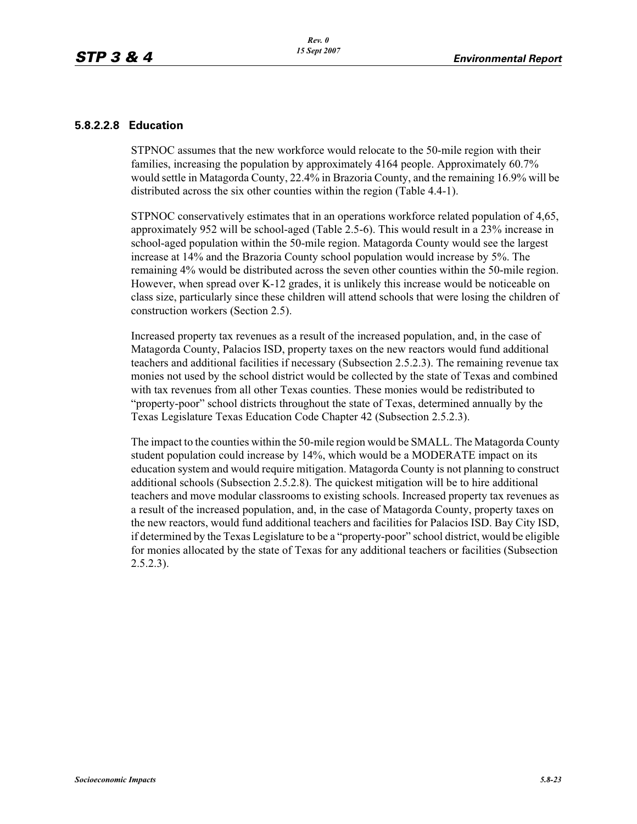### **5.8.2.2.8 Education**

STPNOC assumes that the new workforce would relocate to the 50-mile region with their families, increasing the population by approximately 4164 people. Approximately 60.7% would settle in Matagorda County, 22.4% in Brazoria County, and the remaining 16.9% will be distributed across the six other counties within the region (Table 4.4-1).

STPNOC conservatively estimates that in an operations workforce related population of 4,65, approximately 952 will be school-aged (Table 2.5-6). This would result in a 23% increase in school-aged population within the 50-mile region. Matagorda County would see the largest increase at 14% and the Brazoria County school population would increase by 5%. The remaining 4% would be distributed across the seven other counties within the 50-mile region. However, when spread over K-12 grades, it is unlikely this increase would be noticeable on class size, particularly since these children will attend schools that were losing the children of construction workers (Section 2.5).

Increased property tax revenues as a result of the increased population, and, in the case of Matagorda County, Palacios ISD, property taxes on the new reactors would fund additional teachers and additional facilities if necessary (Subsection 2.5.2.3). The remaining revenue tax monies not used by the school district would be collected by the state of Texas and combined with tax revenues from all other Texas counties. These monies would be redistributed to "property-poor" school districts throughout the state of Texas, determined annually by the Texas Legislature Texas Education Code Chapter 42 (Subsection 2.5.2.3).

The impact to the counties within the 50-mile region would be SMALL. The Matagorda County student population could increase by 14%, which would be a MODERATE impact on its education system and would require mitigation. Matagorda County is not planning to construct additional schools (Subsection 2.5.2.8). The quickest mitigation will be to hire additional teachers and move modular classrooms to existing schools. Increased property tax revenues as a result of the increased population, and, in the case of Matagorda County, property taxes on the new reactors, would fund additional teachers and facilities for Palacios ISD. Bay City ISD, if determined by the Texas Legislature to be a "property-poor" school district, would be eligible for monies allocated by the state of Texas for any additional teachers or facilities (Subsection 2.5.2.3).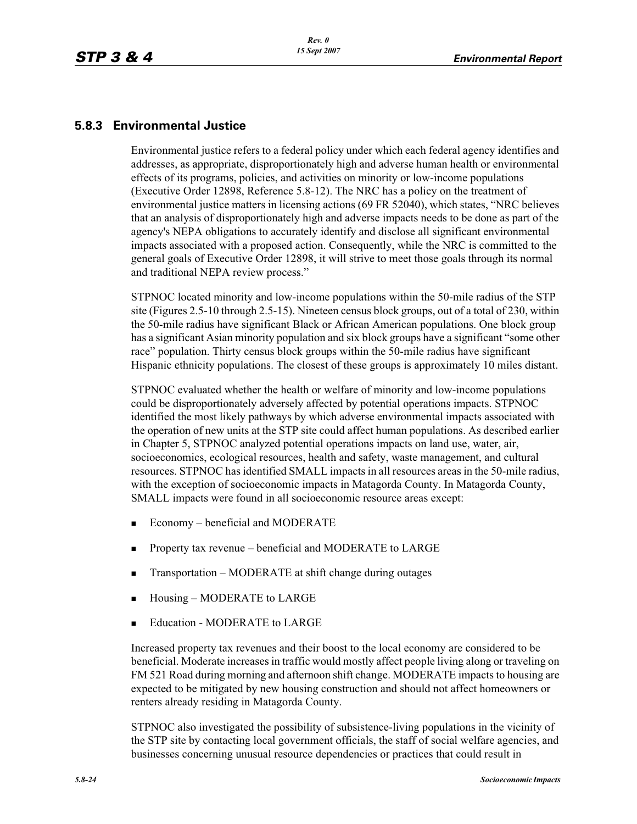# **5.8.3 Environmental Justice**

Environmental justice refers to a federal policy under which each federal agency identifies and addresses, as appropriate, disproportionately high and adverse human health or environmental effects of its programs, policies, and activities on minority or low-income populations (Executive Order 12898, Reference 5.8-12). The NRC has a policy on the treatment of environmental justice matters in licensing actions (69 FR 52040), which states, "NRC believes that an analysis of disproportionately high and adverse impacts needs to be done as part of the agency's NEPA obligations to accurately identify and disclose all significant environmental impacts associated with a proposed action. Consequently, while the NRC is committed to the general goals of Executive Order 12898, it will strive to meet those goals through its normal and traditional NEPA review process."

STPNOC located minority and low-income populations within the 50-mile radius of the STP site (Figures 2.5-10 through 2.5-15). Nineteen census block groups, out of a total of 230, within the 50-mile radius have significant Black or African American populations. One block group has a significant Asian minority population and six block groups have a significant "some other race" population. Thirty census block groups within the 50-mile radius have significant Hispanic ethnicity populations. The closest of these groups is approximately 10 miles distant.

STPNOC evaluated whether the health or welfare of minority and low-income populations could be disproportionately adversely affected by potential operations impacts. STPNOC identified the most likely pathways by which adverse environmental impacts associated with the operation of new units at the STP site could affect human populations. As described earlier in Chapter 5, STPNOC analyzed potential operations impacts on land use, water, air, socioeconomics, ecological resources, health and safety, waste management, and cultural resources. STPNOC has identified SMALL impacts in all resources areas in the 50-mile radius, with the exception of socioeconomic impacts in Matagorda County. In Matagorda County, SMALL impacts were found in all socioeconomic resource areas except:

- -Economy – beneficial and MODERATE
- -Property tax revenue – beneficial and MODERATE to LARGE
- -Transportation – MODERATE at shift change during outages
- -Housing – MODERATE to LARGE
- -Education - MODERATE to LARGE

Increased property tax revenues and their boost to the local economy are considered to be beneficial. Moderate increases in traffic would mostly affect people living along or traveling on FM 521 Road during morning and afternoon shift change. MODERATE impacts to housing are expected to be mitigated by new housing construction and should not affect homeowners or renters already residing in Matagorda County.

STPNOC also investigated the possibility of subsistence-living populations in the vicinity of the STP site by contacting local government officials, the staff of social welfare agencies, and businesses concerning unusual resource dependencies or practices that could result in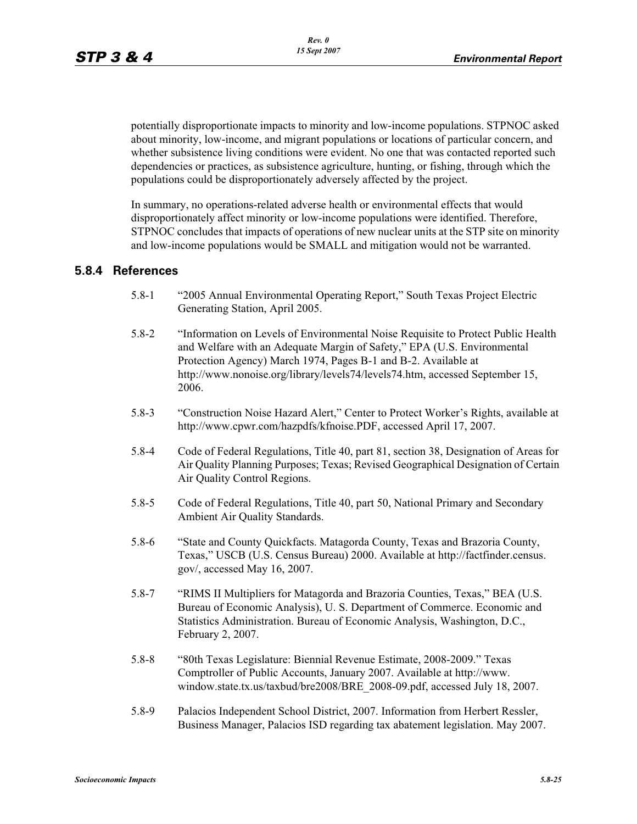potentially disproportionate impacts to minority and low-income populations. STPNOC asked about minority, low-income, and migrant populations or locations of particular concern, and whether subsistence living conditions were evident. No one that was contacted reported such dependencies or practices, as subsistence agriculture, hunting, or fishing, through which the populations could be disproportionately adversely affected by the project.

In summary, no operations-related adverse health or environmental effects that would disproportionately affect minority or low-income populations were identified. Therefore, STPNOC concludes that impacts of operations of new nuclear units at the STP site on minority and low-income populations would be SMALL and mitigation would not be warranted.

### **5.8.4 References**

- 5.8-1 "2005 Annual Environmental Operating Report," South Texas Project Electric Generating Station, April 2005.
- 5.8-2 "Information on Levels of Environmental Noise Requisite to Protect Public Health and Welfare with an Adequate Margin of Safety," EPA (U.S. Environmental Protection Agency) March 1974, Pages B-1 and B-2. Available at http://www.nonoise.org/library/levels74/levels74.htm, accessed September 15, 2006.
- 5.8-3 "Construction Noise Hazard Alert," Center to Protect Worker's Rights, available at http://www.cpwr.com/hazpdfs/kfnoise.PDF, accessed April 17, 2007.
- 5.8-4 Code of Federal Regulations, Title 40, part 81, section 38, Designation of Areas for Air Quality Planning Purposes; Texas; Revised Geographical Designation of Certain Air Quality Control Regions.
- 5.8-5 Code of Federal Regulations, Title 40, part 50, National Primary and Secondary Ambient Air Quality Standards.
- 5.8-6 "State and County Quickfacts. Matagorda County, Texas and Brazoria County, Texas," USCB (U.S. Census Bureau) 2000. Available at http://factfinder.census. gov/, accessed May 16, 2007.
- 5.8-7 "RIMS II Multipliers for Matagorda and Brazoria Counties, Texas," BEA (U.S. Bureau of Economic Analysis), U. S. Department of Commerce. Economic and Statistics Administration. Bureau of Economic Analysis, Washington, D.C., February 2, 2007.
- 5.8-8 "80th Texas Legislature: Biennial Revenue Estimate, 2008-2009." Texas Comptroller of Public Accounts, January 2007. Available at http://www. window.state.tx.us/taxbud/bre2008/BRE\_2008-09.pdf, accessed July 18, 2007.
- 5.8-9 Palacios Independent School District, 2007. Information from Herbert Ressler, Business Manager, Palacios ISD regarding tax abatement legislation. May 2007.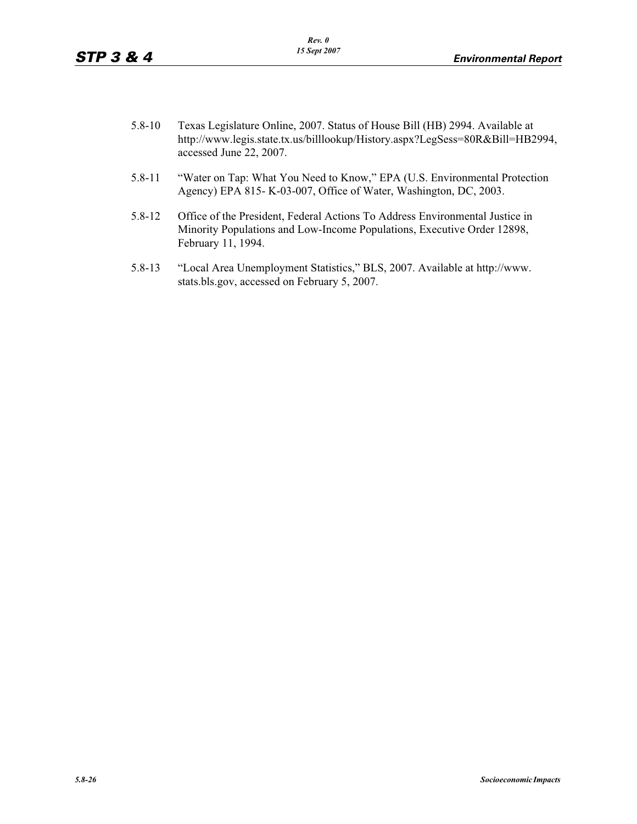- 5.8-10 Texas Legislature Online, 2007. Status of House Bill (HB) 2994. Available at http://www.legis.state.tx.us/billlookup/History.aspx?LegSess=80R&Bill=HB2994, accessed June 22, 2007.
- 5.8-11 "Water on Tap: What You Need to Know," EPA (U.S. Environmental Protection Agency) EPA 815- K-03-007, Office of Water, Washington, DC, 2003.
- 5.8-12 Office of the President, Federal Actions To Address Environmental Justice in Minority Populations and Low-Income Populations, Executive Order 12898, February 11, 1994.
- 5.8-13 "Local Area Unemployment Statistics," BLS, 2007. Available at http://www. stats.bls.gov, accessed on February 5, 2007.